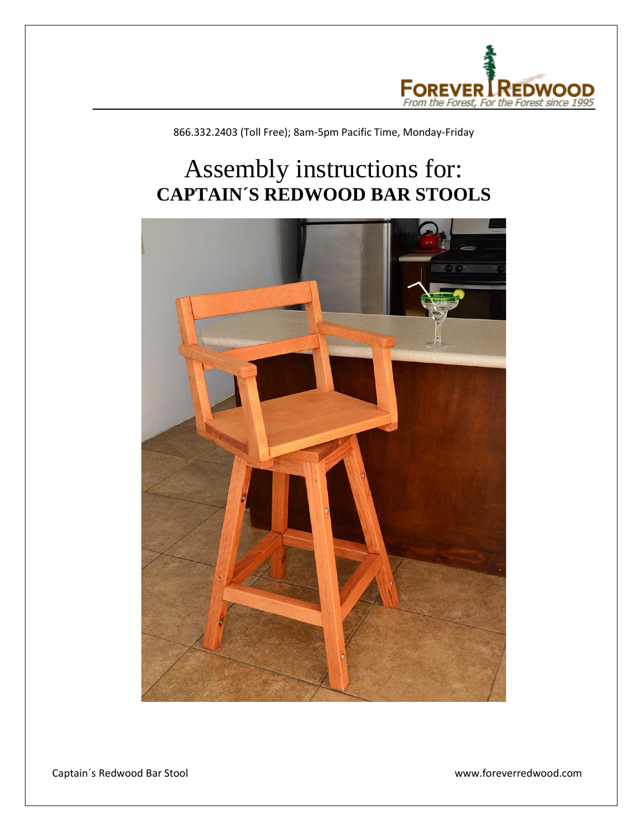

866.332.2403 (Toll Free); 8am-5pm Pacific Time, Monday-Friday

## Assembly instructions for: **CAPTAIN´S REDWOOD BAR STOOLS**



Captain´s Redwood Bar Stool www.foreverredwood.com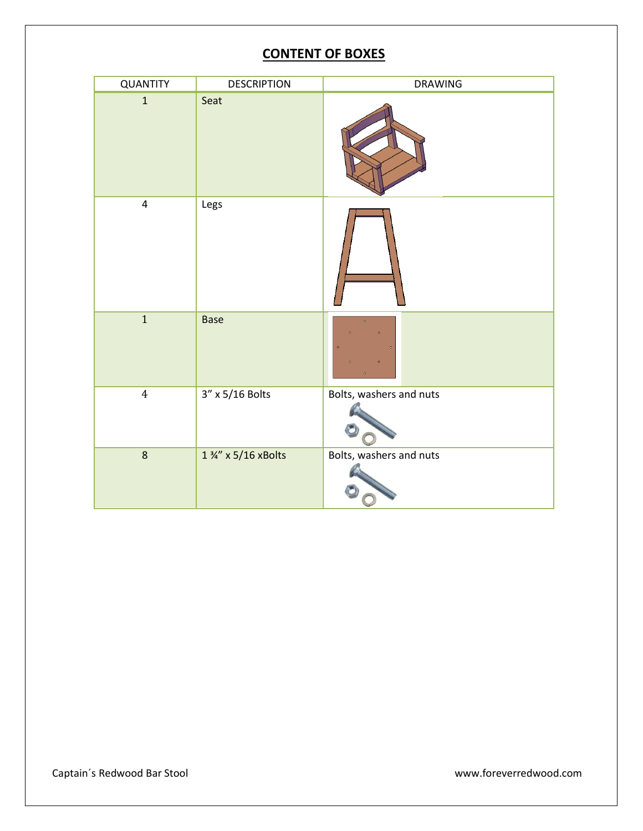## **CONTENT OF BOXES**

| QUANTITY                | <b>DESCRIPTION</b> | DRAWING                 |
|-------------------------|--------------------|-------------------------|
| $\mathbf{1}$            | Seat               |                         |
| $\overline{\mathbf{4}}$ | Legs               |                         |
| $\mathbf 1$             | <b>Base</b>        | $\bullet$               |
| $\overline{4}$          | 3" x 5/16 Bolts    | Bolts, washers and nuts |
| $\bf 8$                 | 1 %" x 5/16 xBolts | Bolts, washers and nuts |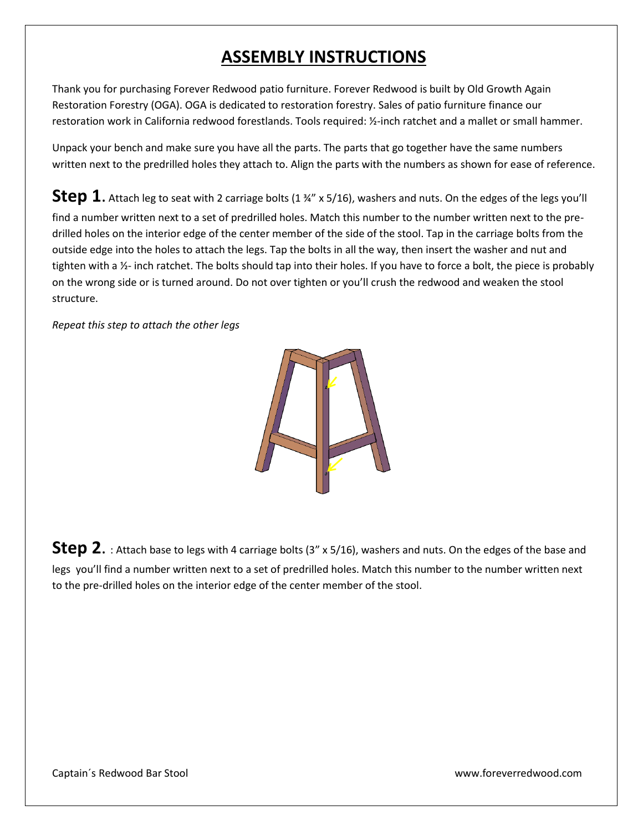## **ASSEMBLY INSTRUCTIONS**

Thank you for purchasing Forever Redwood patio furniture. Forever Redwood is built by Old Growth Again Restoration Forestry (OGA). OGA is dedicated to restoration forestry. Sales of patio furniture finance our restoration work in California redwood forestlands. Tools required: ½-inch ratchet and a mallet or small hammer.

Unpack your bench and make sure you have all the parts. The parts that go together have the same numbers written next to the predrilled holes they attach to. Align the parts with the numbers as shown for ease of reference.

**Step 1.** Attach leg to seat with 2 carriage bolts (1 ¾" x 5/16), washers and nuts. On the edges of the legs you'll find a number written next to a set of predrilled holes. Match this number to the number written next to the predrilled holes on the interior edge of the center member of the side of the stool. Tap in the carriage bolts from the outside edge into the holes to attach the legs. Tap the bolts in all the way, then insert the washer and nut and tighten with a  $\frac{1}{2}$ - inch ratchet. The bolts should tap into their holes. If you have to force a bolt, the piece is probably on the wrong side or is turned around. Do not over tighten or you'll crush the redwood and weaken the stool structure.

*Repeat this step to attach the other legs* 



**Step 2.** : Attach base to legs with 4 carriage bolts (3" x 5/16), washers and nuts. On the edges of the base and legs you'll find a number written next to a set of predrilled holes. Match this number to the number written next to the pre-drilled holes on the interior edge of the center member of the stool.